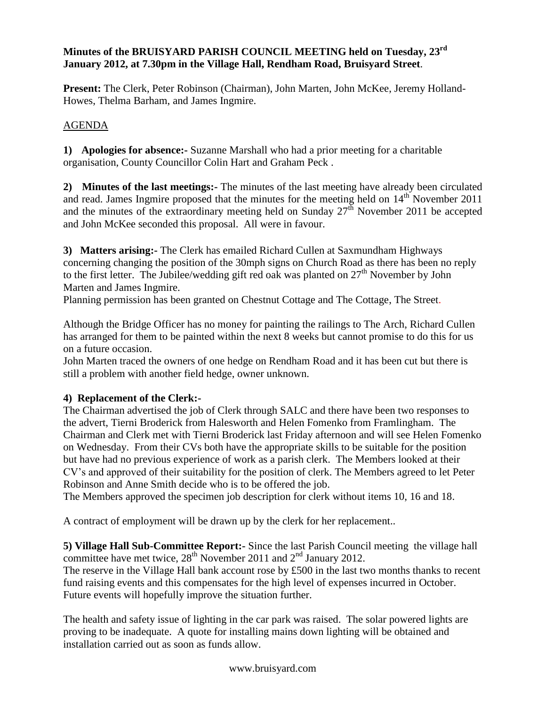#### **Minutes of the BRUISYARD PARISH COUNCIL MEETING held on Tuesday, 23rd January 2012, at 7.30pm in the Village Hall, Rendham Road, Bruisyard Street**.

**Present:** The Clerk, Peter Robinson (Chairman), John Marten, John McKee, Jeremy Holland-Howes, Thelma Barham, and James Ingmire.

## AGENDA

**1) Apologies for absence:-** Suzanne Marshall who had a prior meeting for a charitable organisation, County Councillor Colin Hart and Graham Peck .

**2) Minutes of the last meetings:-** The minutes of the last meeting have already been circulated and read. James Ingmire proposed that the minutes for the meeting held on  $14<sup>th</sup>$  November 2011 and the minutes of the extraordinary meeting held on Sunday  $27<sup>th</sup>$  November 2011 be accepted and John McKee seconded this proposal. All were in favour.

**3) Matters arising:-** The Clerk has emailed Richard Cullen at Saxmundham Highways concerning changing the position of the 30mph signs on Church Road as there has been no reply to the first letter. The Jubilee/wedding gift red oak was planted on 27<sup>th</sup> November by John Marten and James Ingmire.

Planning permission has been granted on Chestnut Cottage and The Cottage, The Street.

Although the Bridge Officer has no money for painting the railings to The Arch, Richard Cullen has arranged for them to be painted within the next 8 weeks but cannot promise to do this for us on a future occasion.

John Marten traced the owners of one hedge on Rendham Road and it has been cut but there is still a problem with another field hedge, owner unknown.

## **4) Replacement of the Clerk:-**

The Chairman advertised the job of Clerk through SALC and there have been two responses to the advert, Tierni Broderick from Halesworth and Helen Fomenko from Framlingham. The Chairman and Clerk met with Tierni Broderick last Friday afternoon and will see Helen Fomenko on Wednesday. From their CVs both have the appropriate skills to be suitable for the position but have had no previous experience of work as a parish clerk. The Members looked at their CV's and approved of their suitability for the position of clerk. The Members agreed to let Peter Robinson and Anne Smith decide who is to be offered the job.

The Members approved the specimen job description for clerk without items 10, 16 and 18.

A contract of employment will be drawn up by the clerk for her replacement..

**5) Village Hall Sub-Committee Report:-** Since the last Parish Council meeting the village hall committee have met twice,  $28<sup>th</sup>$  November 2011 and  $2<sup>nd</sup>$  January 2012.

The reserve in the Village Hall bank account rose by £500 in the last two months thanks to recent fund raising events and this compensates for the high level of expenses incurred in October. Future events will hopefully improve the situation further.

The health and safety issue of lighting in the car park was raised. The solar powered lights are proving to be inadequate. A quote for installing mains down lighting will be obtained and installation carried out as soon as funds allow.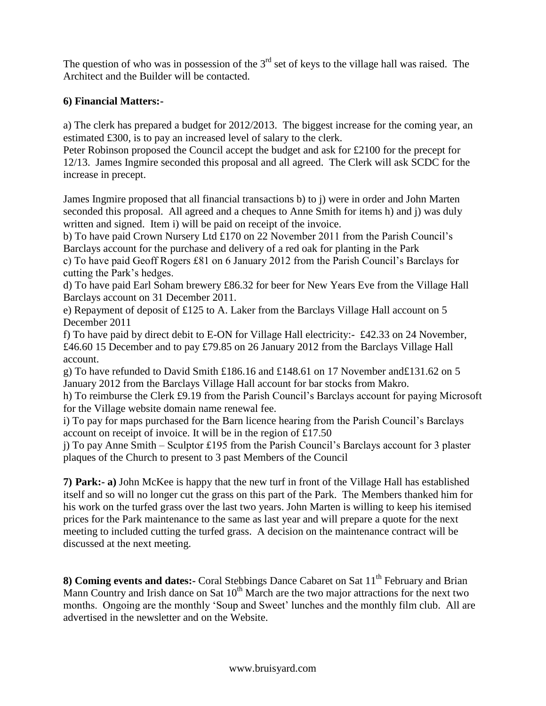The question of who was in possession of the  $3<sup>rd</sup>$  set of keys to the village hall was raised. The Architect and the Builder will be contacted.

#### **6) Financial Matters:-**

a) The clerk has prepared a budget for 2012/2013. The biggest increase for the coming year, an estimated £300, is to pay an increased level of salary to the clerk.

Peter Robinson proposed the Council accept the budget and ask for £2100 for the precept for 12/13. James Ingmire seconded this proposal and all agreed. The Clerk will ask SCDC for the increase in precept.

James Ingmire proposed that all financial transactions b) to j) were in order and John Marten seconded this proposal. All agreed and a cheques to Anne Smith for items h) and j) was duly written and signed. Item i) will be paid on receipt of the invoice.

b) To have paid Crown Nursery Ltd £170 on 22 November 2011 from the Parish Council's Barclays account for the purchase and delivery of a red oak for planting in the Park

c) To have paid Geoff Rogers £81 on 6 January 2012 from the Parish Council's Barclays for cutting the Park's hedges.

d) To have paid Earl Soham brewery £86.32 for beer for New Years Eve from the Village Hall Barclays account on 31 December 2011.

e) Repayment of deposit of £125 to A. Laker from the Barclays Village Hall account on 5 December 2011

f) To have paid by direct debit to E-ON for Village Hall electricity:- £42.33 on 24 November, £46.60 15 December and to pay £79.85 on 26 January 2012 from the Barclays Village Hall account.

g) To have refunded to David Smith £186.16 and £148.61 on 17 November and£131.62 on 5 January 2012 from the Barclays Village Hall account for bar stocks from Makro.

h) To reimburse the Clerk £9.19 from the Parish Council's Barclays account for paying Microsoft for the Village website domain name renewal fee.

i) To pay for maps purchased for the Barn licence hearing from the Parish Council's Barclays account on receipt of invoice. It will be in the region of £17.50

j) To pay Anne Smith – Sculptor £195 from the Parish Council's Barclays account for 3 plaster plaques of the Church to present to 3 past Members of the Council

**7) Park:- a)** John McKee is happy that the new turf in front of the Village Hall has established itself and so will no longer cut the grass on this part of the Park. The Members thanked him for his work on the turfed grass over the last two years. John Marten is willing to keep his itemised prices for the Park maintenance to the same as last year and will prepare a quote for the next meeting to included cutting the turfed grass. A decision on the maintenance contract will be discussed at the next meeting.

8) **Coming events and dates:**- Coral Stebbings Dance Cabaret on Sat 11<sup>th</sup> February and Brian Mann Country and Irish dance on Sat  $10<sup>th</sup>$  March are the two major attractions for the next two months. Ongoing are the monthly 'Soup and Sweet' lunches and the monthly film club. All are advertised in the newsletter and on the Website.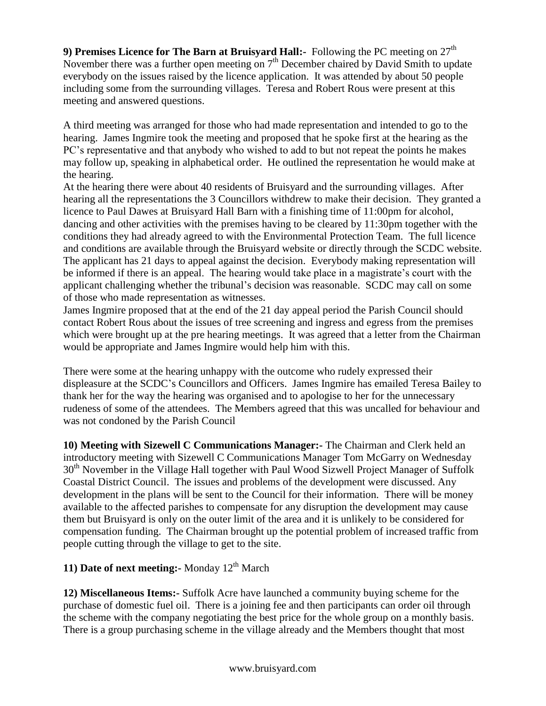**9)** Premises Licence for The Barn at Bruisvard Hall:- Following the PC meeting on  $27<sup>th</sup>$ November there was a further open meeting on 7<sup>th</sup> December chaired by David Smith to update everybody on the issues raised by the licence application. It was attended by about 50 people including some from the surrounding villages. Teresa and Robert Rous were present at this meeting and answered questions.

A third meeting was arranged for those who had made representation and intended to go to the hearing. James Ingmire took the meeting and proposed that he spoke first at the hearing as the PC's representative and that anybody who wished to add to but not repeat the points he makes may follow up, speaking in alphabetical order. He outlined the representation he would make at the hearing.

At the hearing there were about 40 residents of Bruisyard and the surrounding villages. After hearing all the representations the 3 Councillors withdrew to make their decision. They granted a licence to Paul Dawes at Bruisyard Hall Barn with a finishing time of 11:00pm for alcohol, dancing and other activities with the premises having to be cleared by 11:30pm together with the conditions they had already agreed to with the Environmental Protection Team. The full licence and conditions are available through the Bruisyard website or directly through the SCDC website. The applicant has 21 days to appeal against the decision. Everybody making representation will be informed if there is an appeal. The hearing would take place in a magistrate's court with the applicant challenging whether the tribunal's decision was reasonable. SCDC may call on some of those who made representation as witnesses.

James Ingmire proposed that at the end of the 21 day appeal period the Parish Council should contact Robert Rous about the issues of tree screening and ingress and egress from the premises which were brought up at the pre hearing meetings. It was agreed that a letter from the Chairman would be appropriate and James Ingmire would help him with this.

There were some at the hearing unhappy with the outcome who rudely expressed their displeasure at the SCDC's Councillors and Officers. James Ingmire has emailed Teresa Bailey to thank her for the way the hearing was organised and to apologise to her for the unnecessary rudeness of some of the attendees. The Members agreed that this was uncalled for behaviour and was not condoned by the Parish Council

**10) Meeting with Sizewell C Communications Manager:-** The Chairman and Clerk held an introductory meeting with Sizewell C Communications Manager Tom McGarry on Wednesday 30<sup>th</sup> November in the Village Hall together with Paul Wood Sizwell Project Manager of Suffolk Coastal District Council. The issues and problems of the development were discussed. Any development in the plans will be sent to the Council for their information. There will be money available to the affected parishes to compensate for any disruption the development may cause them but Bruisyard is only on the outer limit of the area and it is unlikely to be considered for compensation funding. The Chairman brought up the potential problem of increased traffic from people cutting through the village to get to the site.

# **11) Date of next meeting:** Monday 12<sup>th</sup> March

**12) Miscellaneous Items:-** Suffolk Acre have launched a community buying scheme for the purchase of domestic fuel oil. There is a joining fee and then participants can order oil through the scheme with the company negotiating the best price for the whole group on a monthly basis. There is a group purchasing scheme in the village already and the Members thought that most